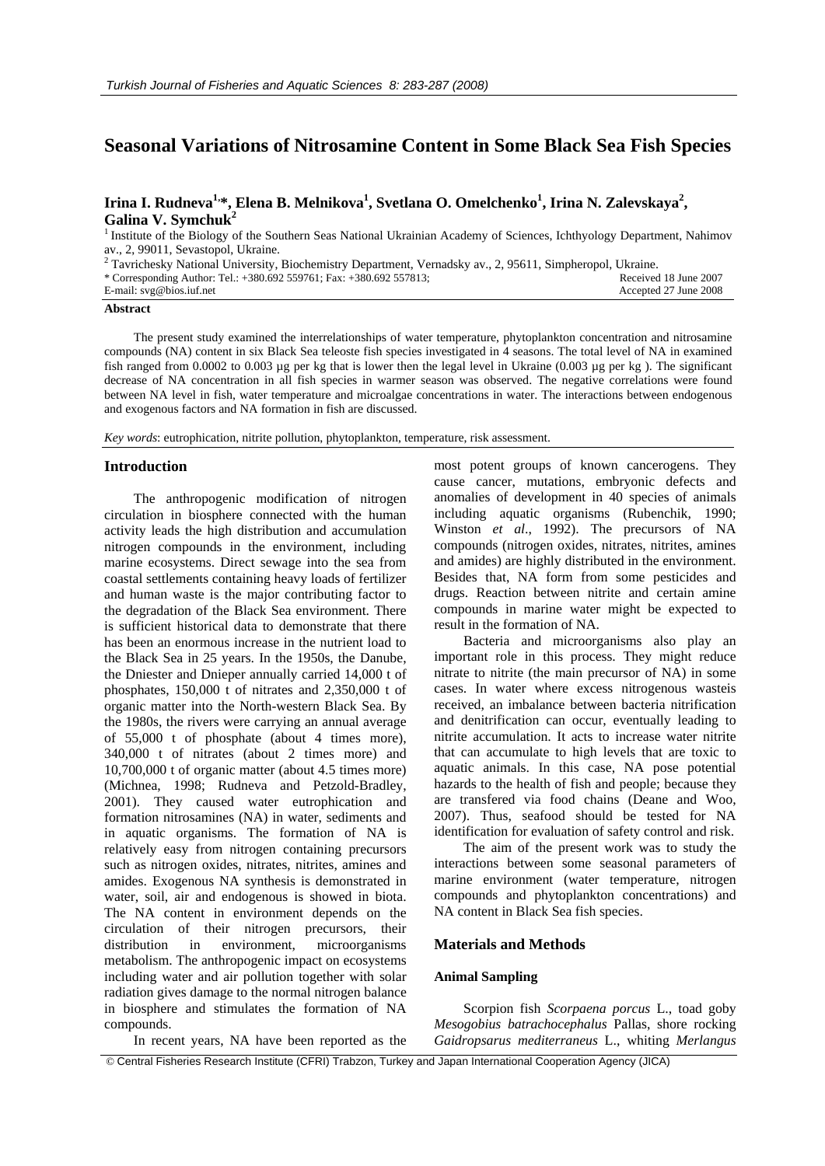# **Seasonal Variations of Nitrosamine Content in Some Black Sea Fish Species**

## Irina I. Rudneva<sup>1,</sup>\*, Elena B. Melnikova<sup>1</sup>, Svetlana O. Omelchenko<sup>1</sup>, Irina N. Zalevskaya<sup>2</sup>, **Galina V. Symchuk2**

<sup>1</sup> Institute of the Biology of the Southern Seas National Ukrainian Academy of Sciences, Ichthyology Department, Nahimov av., 2, 99011, Sevastopol, Ukraine.

| <sup>2</sup> Tavrichesky National University, Biochemistry Department, Vernadsky av., 2, 95611, Simpheropol, Ukraine. |                       |
|-----------------------------------------------------------------------------------------------------------------------|-----------------------|
| * Corresponding Author: Tel.: +380.692 559761; Fax: +380.692 557813;                                                  | Received 18 June 2007 |
| E-mail: $svg@bios.iuf.net$                                                                                            | Accepted 27 June 2008 |

#### **Abstract**

The present study examined the interrelationships of water temperature, phytoplankton concentration and nitrosamine compounds (NA) content in six Black Sea teleoste fish species investigated in 4 seasons. The total level of NA in examined fish ranged from  $0.0002$  to  $0.003$  µg per kg that is lower then the legal level in Ukraine  $(0.003 \text{ µg per kg})$ . The significant decrease of NA concentration in all fish species in warmer season was observed. The negative correlations were found between NA level in fish, water temperature and microalgae concentrations in water. The interactions between endogenous and exogenous factors and NA formation in fish are discussed.

*Key words*: eutrophication, nitrite pollution, phytoplankton, temperature, risk assessment.

#### **Introduction**

The anthropogenic modification of nitrogen circulation in biosphere connected with the human activity leads the high distribution and accumulation nitrogen compounds in the environment, including marine ecosystems. Direct sewage into the sea from coastal settlements containing heavy loads of fertilizer and human waste is the major contributing factor to the degradation of the Black Sea environment. There is sufficient historical data to demonstrate that there has been an enormous increase in the nutrient load to the Black Sea in 25 years. In the 1950s, the Danube, the Dniester and Dnieper annually carried 14,000 t of phosphates, 150,000 t of nitrates and 2,350,000 t of organic matter into the North-western Black Sea. By the 1980s, the rivers were carrying an annual average of 55,000 t of phosphate (about 4 times more), 340,000 t of nitrates (about 2 times more) and 10,700,000 t of organic matter (about 4.5 times more) (Michnea, 1998; Rudneva and Petzold-Bradley, 2001). They caused water eutrophication and formation nitrosamines (NA) in water, sediments and in aquatic organisms. The formation of NA is relatively easy from nitrogen containing precursors such as nitrogen oxides, nitrates, nitrites, amines and amides. Exogenous NA synthesis is demonstrated in water, soil, air and endogenous is showed in biota. The NA content in environment depends on the circulation of their nitrogen precursors, their distribution in environment, microorganisms metabolism. The anthropogenic impact on ecosystems including water and air pollution together with solar radiation gives damage to the normal nitrogen balance in biosphere and stimulates the formation of NA compounds.

In recent years, NA have been reported as the

most potent groups of known cancerogens. They cause cancer, mutations, embryonic defects and anomalies of development in 40 species of animals including aquatic organisms (Rubenchik, 1990; Winston *et al*., 1992). The precursors of NA compounds (nitrogen oxides, nitrates, nitrites, amines and amides) are highly distributed in the environment. Besides that, NA form from some pesticides and drugs. Reaction between nitrite and certain amine compounds in marine water might be expected to result in the formation of NA.

Bacteria and microorganisms also play an important role in this process. They might reduce nitrate to nitrite (the main precursor of NA) in some cases. In water where excess nitrogenous wasteis received, an imbalance between bacteria nitrification and denitrification can occur, eventually leading to nitrite accumulation. It acts to increase water nitrite that can accumulate to high levels that are toxic to aquatic animals. In this case, NA pose potential hazards to the health of fish and people; because they are transfered via food chains (Deane and Woo, 2007). Thus, seafood should be tested for NA identification for evaluation of safety control and risk.

The aim of the present work was to study the interactions between some seasonal parameters of marine environment (water temperature, nitrogen compounds and phytoplankton concentrations) and NA content in Black Sea fish species.

#### **Materials and Methods**

## **Animal Sampling**

Scorpion fish *Scorpaena porcus* L., toad goby *Mesogobius batrachocephalus* Pallas, shore rocking *Gaidropsarus mediterraneus* L., whiting *Merlangus* 

© Central Fisheries Research Institute (CFRI) Trabzon, Turkey and Japan International Cooperation Agency (JICA)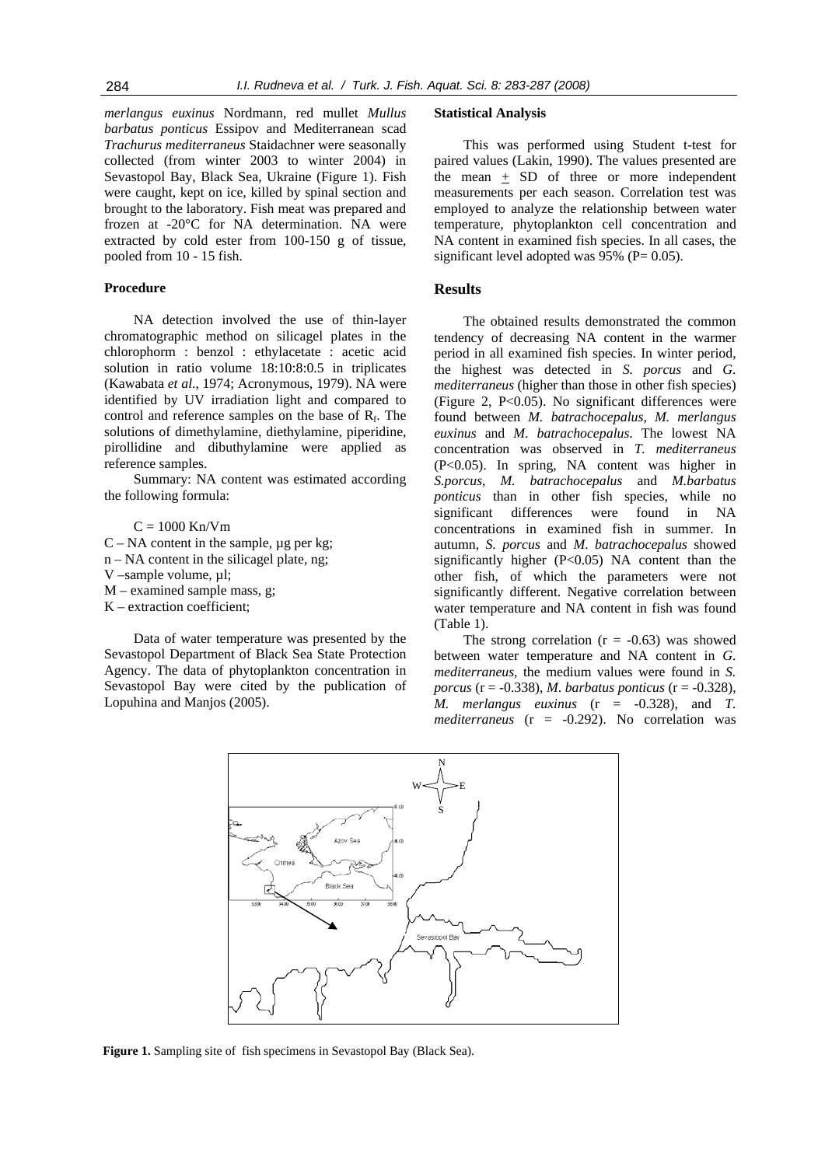*merlangus euxinus* Nordmann, red mullet *Mullus barbatus ponticus* Essipov and Mediterranean scad *Trachurus mediterraneus* Staidachner were seasonally collected (from winter 2003 to winter 2004) in Sevastopol Bay, Black Sea, Ukraine (Figure 1). Fish were caught, kept on ice, killed by spinal section and brought to the laboratory. Fish meat was prepared and frozen at -20°C for NA determination. NA were extracted by cold ester from 100-150 g of tissue, pooled from 10 - 15 fish.

#### **Procedure**

NA detection involved the use of thin-layer chromatographic method on silicagel plates in the chlorophorm : benzol : ethylacetate : acetic acid solution in ratio volume 18:10:8:0.5 in triplicates (Kawabata *et al*., 1974; Acronymous, 1979). NA were identified by UV irradiation light and compared to control and reference samples on the base of  $R_f$ . The solutions of dimethylamine, diethylamine, piperidine, pirollidine and dibuthylamine were applied as reference samples.

Summary: NA content was estimated according the following formula:

 $C = 1000$  Kn/Vm

- $C NA$  content in the sample,  $\mu$ g per kg;
- n NA content in the silicagel plate, ng;
- V –sample volume, µl;
- $M$  examined sample mass, g;
- K extraction coefficient;

Data of water temperature was presented by the Sevastopol Department of Black Sea State Protection Agency. The data of phytoplankton concentration in Sevastopol Bay were cited by the publication of Lopuhina and Manjos (2005).

#### **Statistical Analysis**

This was performed using Student t-test for paired values (Lakin, 1990). The values presented are the mean  $\pm$  SD of three or more independent measurements per each season. Correlation test was employed to analyze the relationship between water temperature, phytoplankton cell concentration and NA content in examined fish species. In all cases, the significant level adopted was  $95\%$  (P= 0.05).

### **Results**

The obtained results demonstrated the common tendency of decreasing NA content in the warmer period in all examined fish species. In winter period, the highest was detected in *S. porcus* and *G. mediterraneus* (higher than those in other fish species) (Figure 2, P<0.05). No significant differences were found between *M. batrachocepalus, M. merlangus euxinus* and *M*. *batrachocepalus*. The lowest NA concentration was observed in *T. mediterraneus*  (P<0.05). In spring, NA content was higher in *S.porcus*, *M. batrachocepalus* and *M.barbatus ponticus* than in other fish species, while no significant differences were found in NA concentrations in examined fish in summer. In autumn, *S. porcus* and *M*. *batrachocepalus* showed significantly higher (P<0.05) NA content than the other fish, of which the parameters were not significantly different. Negative correlation between water temperature and NA content in fish was found (Table 1).

The strong correlation  $(r = -0.63)$  was showed between water temperature and NA content in *G. mediterraneus,* the medium values were found in *S. porcus* (r = -0.338), *M*. *barbatus ponticus* (r = -0.328), *M. merlangus euxinus* (r = -0.328), and *T. mediterraneus* (r = -0.292). No correlation was



**Figure 1.** Sampling site of fish specimens in Sevastopol Bay (Black Sea).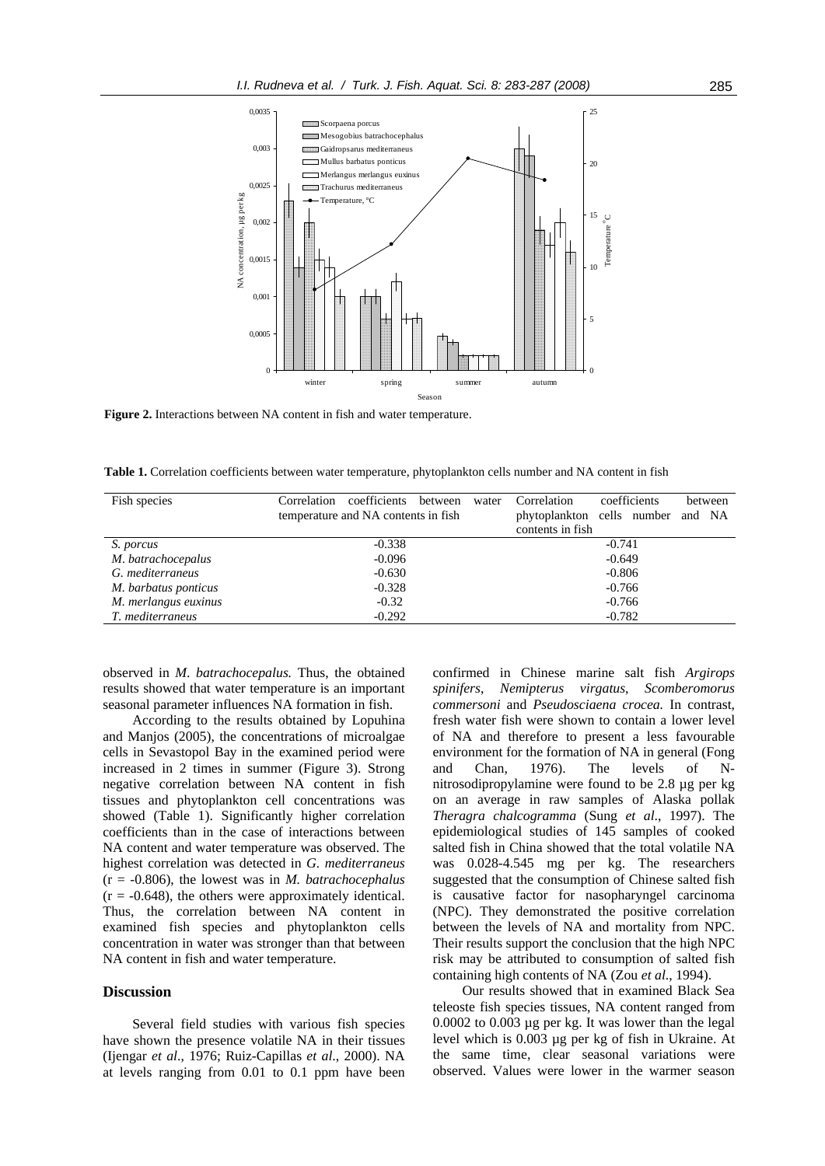

**Figure 2.** Interactions between NA content in fish and water temperature.

**Table 1.** Correlation coefficients between water temperature, phytoplankton cells number and NA content in fish

| Fish species         | Correlation<br>coefficients<br>between | water | Correlation      | coefficients                      | between |
|----------------------|----------------------------------------|-------|------------------|-----------------------------------|---------|
|                      | temperature and NA contents in fish    |       |                  | phytoplankton cells number and NA |         |
|                      |                                        |       | contents in fish |                                   |         |
| S. porcus            | $-0.338$                               |       |                  | $-0.741$                          |         |
| M. batrachocepalus   | $-0.096$                               |       | $-0.649$         |                                   |         |
| G. mediterraneus     | $-0.630$                               |       | $-0.806$         |                                   |         |
| M. barbatus ponticus | $-0.328$                               |       | $-0.766$         |                                   |         |
| M. merlangus euxinus | $-0.32$                                |       | $-0.766$         |                                   |         |
| T. mediterraneus     | $-0.292$                               |       |                  | $-0.782$                          |         |

observed in *M*. *batrachocepalus.* Thus, the obtained results showed that water temperature is an important seasonal parameter influences NA formation in fish.

According to the results obtained by Lopuhina and Manjos (2005), the concentrations of microalgae cells in Sevastopol Bay in the examined period were increased in 2 times in summer (Figure 3). Strong negative correlation between NA content in fish tissues and phytoplankton cell concentrations was showed (Table 1). Significantly higher correlation coefficients than in the case of interactions between NA content and water temperature was observed. The highest correlation was detected in *G. mediterraneus*  (r = -0.806), the lowest was in *M. batrachocephalus*  $(r = -0.648)$ , the others were approximately identical. Thus, the correlation between NA content in examined fish species and phytoplankton cells concentration in water was stronger than that between NA content in fish and water temperature.

### **Discussion**

Several field studies with various fish species have shown the presence volatile NA in their tissues (Ijengar *et al*., 1976; Ruiz-Capillas *et al*., 2000). NA at levels ranging from 0.01 to 0.1 ppm have been

confirmed in Chinese marine salt fish *Argirops spinifers*, *Nemipterus virgatus*, *Scomberomorus commersoni* and *Pseudosciaena crocea.* In contrast, fresh water fish were shown to contain a lower level of NA and therefore to present a less favourable environment for the formation of NA in general (Fong and Chan, 1976). The levels of Nnitrosodipropylamine were found to be 2.8 µg per kg on an average in raw samples of Alaska pollak *Theragra chalcogramma* (Sung *et al*., 1997). The epidemiological studies of 145 samples of cooked salted fish in China showed that the total volatile NA was 0.028-4.545 mg per kg. The researchers suggested that the consumption of Chinese salted fish is causative factor for nasopharyngel carcinoma (NPC). They demonstrated the positive correlation between the levels of NA and mortality from NPC. Their results support the conclusion that the high NPC risk may be attributed to consumption of salted fish containing high contents of NA (Zou *et al*., 1994).

Our results showed that in examined Black Sea teleoste fish species tissues, NA content ranged from 0.0002 to 0.003 µg per kg. It was lower than the legal level which is 0.003 µg per kg of fish in Ukraine. At the same time, clear seasonal variations were observed. Values were lower in the warmer season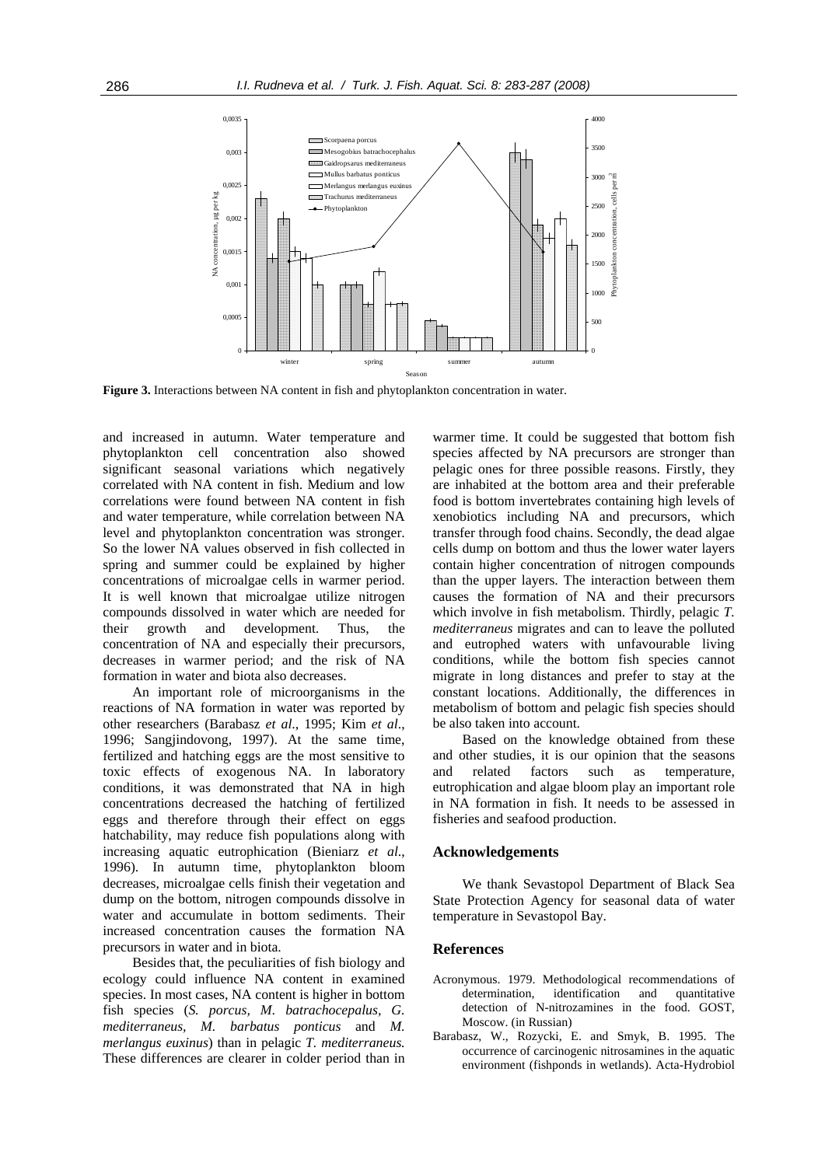

**Figure 3.** Interactions between NA content in fish and phytoplankton concentration in water.

and increased in autumn. Water temperature and phytoplankton cell concentration also showed significant seasonal variations which negatively correlated with NA content in fish. Medium and low correlations were found between NA content in fish and water temperature, while correlation between NA level and phytoplankton concentration was stronger. So the lower NA values observed in fish collected in spring and summer could be explained by higher concentrations of microalgae cells in warmer period. It is well known that microalgae utilize nitrogen compounds dissolved in water which are needed for their growth and development. Thus, the concentration of NA and especially their precursors, decreases in warmer period; and the risk of NA formation in water and biota also decreases.

An important role of microorganisms in the reactions of NA formation in water was reported by other researchers (Barabasz *et al*., 1995; Kim *et al*., 1996; Sangjindovong, 1997). At the same time, fertilized and hatching eggs are the most sensitive to toxic effects of exogenous NA. In laboratory conditions, it was demonstrated that NA in high concentrations decreased the hatching of fertilized eggs and therefore through their effect on eggs hatchability, may reduce fish populations along with increasing aquatic eutrophication (Bieniarz *et al*., 1996). In autumn time, phytoplankton bloom decreases, microalgae cells finish their vegetation and dump on the bottom, nitrogen compounds dissolve in water and accumulate in bottom sediments. Their increased concentration causes the formation NA precursors in water and in biota.

Besides that, the peculiarities of fish biology and ecology could influence NA content in examined species. In most cases, NA content is higher in bottom fish species (*S. porcus, M*. *batrachocepalus, G. mediterraneus, M. barbatus ponticus* and *M. merlangus euxinus*) than in pelagic *T. mediterraneus.*  These differences are clearer in colder period than in

warmer time. It could be suggested that bottom fish species affected by NA precursors are stronger than pelagic ones for three possible reasons. Firstly, they are inhabited at the bottom area and their preferable food is bottom invertebrates containing high levels of xenobiotics including NA and precursors, which transfer through food chains. Secondly, the dead algae cells dump on bottom and thus the lower water layers contain higher concentration of nitrogen compounds than the upper layers. The interaction between them causes the formation of NA and their precursors which involve in fish metabolism. Thirdly, pelagic *T. mediterraneus* migrates and can to leave the polluted and eutrophed waters with unfavourable living conditions, while the bottom fish species cannot migrate in long distances and prefer to stay at the constant locations. Additionally, the differences in metabolism of bottom and pelagic fish species should be also taken into account.

Based on the knowledge obtained from these and other studies, it is our opinion that the seasons and related factors such as temperature, eutrophication and algae bloom play an important role in NA formation in fish. It needs to be assessed in fisheries and seafood production.

#### **Acknowledgements**

We thank Sevastopol Department of Black Sea State Protection Agency for seasonal data of water temperature in Sevastopol Bay.

#### **References**

- Acronymous. 1979. Methodological recommendations of determination, identification and quantitative detection of N-nitrozamines in the food. GOST, Moscow. (in Russian)
- Barabasz, W., Rozycki, E. and Smyk, B. 1995. The occurrence of carcinogenic nitrosamines in the aquatic environment (fishponds in wetlands). Acta-Hydrobiol